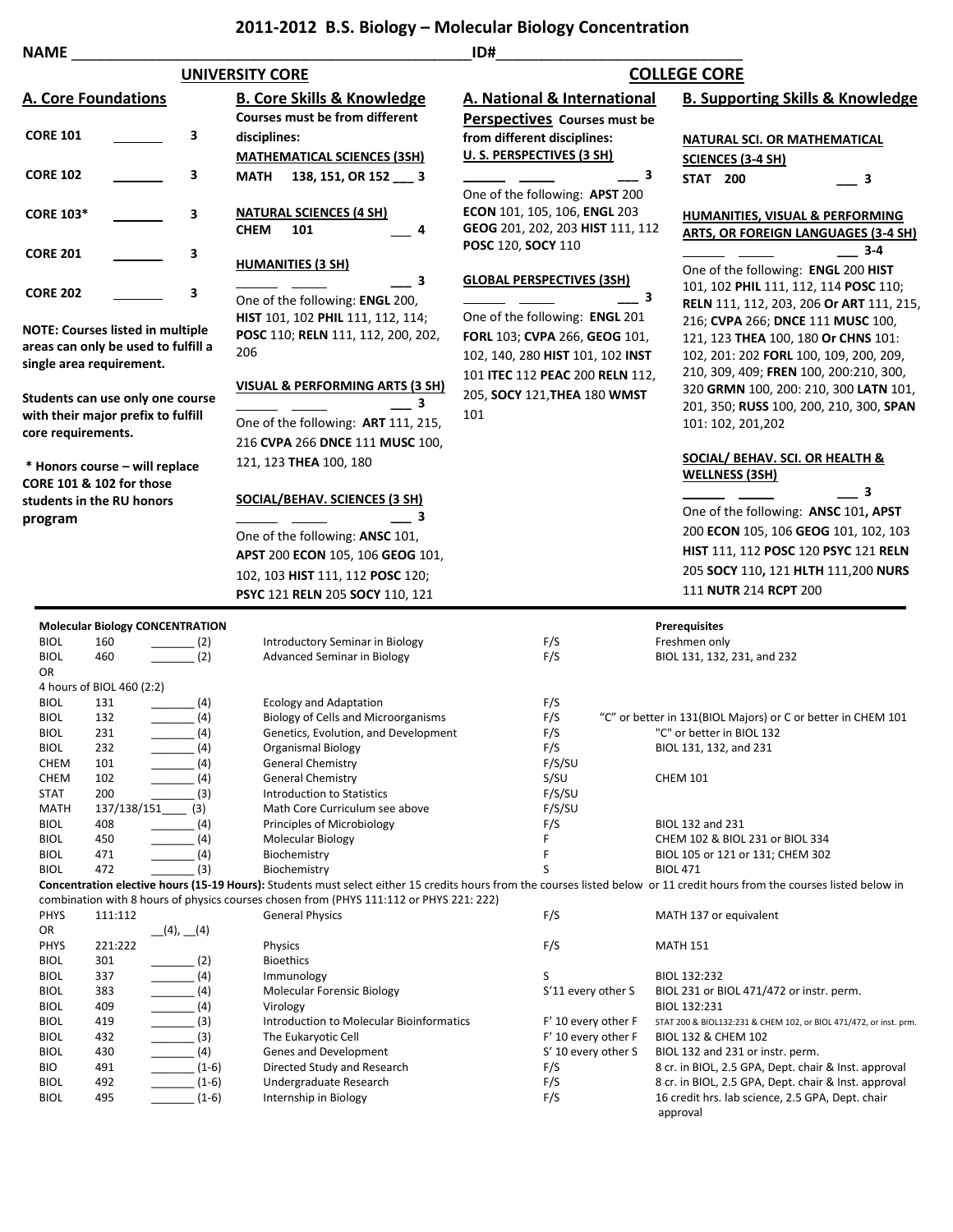## **2011-2012 B.S. Biology – Molecular Biology Concentration**

|  | AMI |  |
|--|-----|--|
|  |     |  |

| <b>NAME</b>                |                                                                 |                          |                                                                                         | ID#                              |                                                                                                                                                                                               |
|----------------------------|-----------------------------------------------------------------|--------------------------|-----------------------------------------------------------------------------------------|----------------------------------|-----------------------------------------------------------------------------------------------------------------------------------------------------------------------------------------------|
|                            |                                                                 |                          | <b>UNIVERSITY CORE</b>                                                                  |                                  | <b>COLLEGE CORE</b>                                                                                                                                                                           |
|                            | <b>A. Core Foundations</b>                                      |                          | <b>B. Core Skills &amp; Knowledge</b>                                                   | A. National & International      | <b>B. Supporting Skills &amp; Knowledge</b>                                                                                                                                                   |
|                            |                                                                 |                          | <b>Courses must be from different</b>                                                   | Perspectives Courses must be     |                                                                                                                                                                                               |
| <b>CORE 101</b>            |                                                                 | З                        | disciplines:                                                                            | from different disciplines:      | <b>NATURAL SCI. OR MATHEMATICAL</b>                                                                                                                                                           |
|                            |                                                                 |                          | <b>MATHEMATICAL SCIENCES (3SH)</b>                                                      | U. S. PERSPECTIVES (3 SH)        | <b>SCIENCES (3-4 SH)</b>                                                                                                                                                                      |
| <b>CORE 102</b>            |                                                                 | З                        | 138, 151, OR 152 ___ 3<br>MATH                                                          | 3                                | <b>STAT 200</b><br>3                                                                                                                                                                          |
|                            |                                                                 |                          |                                                                                         | One of the following: APST 200   |                                                                                                                                                                                               |
| <b>CORE 103*</b>           |                                                                 | 3                        | <b>NATURAL SCIENCES (4 SH)</b>                                                          | ECON 101, 105, 106, ENGL 203     | <b>HUMANITIES, VISUAL &amp; PERFORMING</b>                                                                                                                                                    |
|                            |                                                                 |                          | <b>CHEM</b><br>101<br>4                                                                 | GEOG 201, 202, 203 HIST 111, 112 | <b>ARTS, OR FOREIGN LANGUAGES (3-4 SH)</b>                                                                                                                                                    |
| <b>CORE 201</b>            |                                                                 |                          |                                                                                         | POSC 120, SOCY 110               | 3-4                                                                                                                                                                                           |
|                            |                                                                 | 3                        | <b>HUMANITIES (3 SH)</b>                                                                |                                  | One of the following: ENGL 200 HIST                                                                                                                                                           |
|                            |                                                                 |                          | з                                                                                       | <b>GLOBAL PERSPECTIVES (3SH)</b> | 101, 102 PHIL 111, 112, 114 POSC 110;                                                                                                                                                         |
| <b>CORE 202</b>            |                                                                 | 3                        | One of the following: ENGL 200,                                                         | 3                                | RELN 111, 112, 203, 206 Or ART 111, 215,                                                                                                                                                      |
|                            |                                                                 |                          | HIST 101, 102 PHIL 111, 112, 114;                                                       | One of the following: ENGL 201   | 216; CVPA 266; DNCE 111 MUSC 100,                                                                                                                                                             |
|                            | <b>NOTE: Courses listed in multiple</b>                         |                          | POSC 110; RELN 111, 112, 200, 202,                                                      | FORL 103; CVPA 266, GEOG 101,    | 121, 123 THEA 100, 180 Or CHNS 101:                                                                                                                                                           |
|                            | areas can only be used to fulfill a<br>single area requirement. |                          | 206                                                                                     | 102, 140, 280 HIST 101, 102 INST | 102, 201: 202 FORL 100, 109, 200, 209,                                                                                                                                                        |
|                            |                                                                 |                          |                                                                                         | 101 ITEC 112 PEAC 200 RELN 112,  | 210, 309, 409; FREN 100, 200:210, 300,                                                                                                                                                        |
|                            | Students can use only one course                                |                          | VISUAL & PERFORMING ARTS (3 SH)                                                         | 205, SOCY 121, THEA 180 WMST     | 320 GRMN 100, 200: 210, 300 LATN 101,                                                                                                                                                         |
|                            | with their major prefix to fulfill                              |                          | 3                                                                                       | 101                              | 201, 350; RUSS 100, 200, 210, 300, SPAN                                                                                                                                                       |
| core requirements.         |                                                                 |                          | One of the following: ART 111, 215,                                                     |                                  | 101: 102, 201, 202                                                                                                                                                                            |
|                            |                                                                 |                          | 216 CVPA 266 DNCE 111 MUSC 100,                                                         |                                  |                                                                                                                                                                                               |
|                            | * Honors course - will replace                                  |                          | 121, 123 THEA 100, 180                                                                  |                                  | SOCIAL/ BEHAV. SCI. OR HEALTH &<br><b>WELLNESS (3SH)</b>                                                                                                                                      |
|                            | CORE 101 & 102 for those                                        |                          |                                                                                         |                                  | 3                                                                                                                                                                                             |
|                            | students in the RU honors                                       |                          | <b>SOCIAL/BEHAV. SCIENCES (3 SH)</b>                                                    |                                  | One of the following: ANSC 101, APST                                                                                                                                                          |
| program                    |                                                                 |                          | 3                                                                                       |                                  | 200 ECON 105, 106 GEOG 101, 102, 103                                                                                                                                                          |
|                            |                                                                 |                          | One of the following: ANSC 101,                                                         |                                  |                                                                                                                                                                                               |
|                            |                                                                 |                          | APST 200 ECON 105, 106 GEOG 101,                                                        |                                  | HIST 111, 112 POSC 120 PSYC 121 RELN                                                                                                                                                          |
|                            |                                                                 |                          | 102, 103 HIST 111, 112 POSC 120;                                                        |                                  | 205 SOCY 110, 121 HLTH 111,200 NURS                                                                                                                                                           |
|                            |                                                                 |                          | PSYC 121 RELN 205 SOCY 110, 121                                                         |                                  | 111 NUTR 214 RCPT 200                                                                                                                                                                         |
|                            | <b>Molecular Biology CONCENTRATION</b>                          |                          |                                                                                         |                                  | <b>Prerequisites</b>                                                                                                                                                                          |
| <b>BIOL</b>                | 160                                                             | (2)                      | Introductory Seminar in Biology                                                         | F/S                              | Freshmen only                                                                                                                                                                                 |
| <b>BIOL</b>                | 460                                                             | $\frac{1}{2}$ (2)        | <b>Advanced Seminar in Biology</b>                                                      | F/S                              | BIOL 131, 132, 231, and 232                                                                                                                                                                   |
| OR                         |                                                                 |                          |                                                                                         |                                  |                                                                                                                                                                                               |
| <b>BIOL</b>                | 4 hours of BIOL 460 (2:2)<br>131                                | (4)                      | <b>Ecology and Adaptation</b>                                                           | F/S                              |                                                                                                                                                                                               |
| <b>BIOL</b>                | 132                                                             | (4)                      | <b>Biology of Cells and Microorganisms</b>                                              | F/S                              | "C" or better in 131(BIOL Majors) or C or better in CHEM 101                                                                                                                                  |
| <b>BIOL</b>                | 231                                                             | (4)                      | Genetics, Evolution, and Development                                                    | F/S                              | "C" or better in BIOL 132                                                                                                                                                                     |
| <b>BIOL</b>                | 232                                                             | (4)                      | Organismal Biology                                                                      | F/S                              | BIOL 131, 132, and 231                                                                                                                                                                        |
| <b>CHEM</b>                | 101                                                             | (4)                      | <b>General Chemistry</b>                                                                | F/S/SU                           |                                                                                                                                                                                               |
| <b>CHEM</b><br><b>STAT</b> | 102<br>200                                                      | $\frac{1}{2}$ (4)<br>(3) | <b>General Chemistry</b><br><b>Introduction to Statistics</b>                           | S/SU<br>F/S/SU                   | <b>CHEM 101</b>                                                                                                                                                                               |
| MATH                       | $137/138/151$ (3)                                               |                          | Math Core Curriculum see above                                                          | F/S/SU                           |                                                                                                                                                                                               |
| <b>BIOL</b>                | 408                                                             | (4)                      | Principles of Microbiology                                                              | F/S                              | BIOL 132 and 231                                                                                                                                                                              |
| <b>BIOL</b>                | 450                                                             | (4)                      | Molecular Biology                                                                       | F                                | CHEM 102 & BIOL 231 or BIOL 334                                                                                                                                                               |
| <b>BIOL</b>                | 471                                                             | (4)                      | Biochemistry                                                                            | F                                | BIOL 105 or 121 or 131; CHEM 302                                                                                                                                                              |
| <b>BIOL</b>                | 472                                                             | (3)                      | Biochemistry                                                                            | S                                | <b>BIOL 471</b><br>Concentration elective hours (15-19 Hours): Students must select either 15 credits hours from the courses listed below or 11 credit hours from the courses listed below in |
|                            |                                                                 |                          | combination with 8 hours of physics courses chosen from (PHYS 111:112 or PHYS 221: 222) |                                  |                                                                                                                                                                                               |
| <b>PHYS</b>                | 111:112                                                         |                          | <b>General Physics</b>                                                                  | F/S                              | MATH 137 or equivalent                                                                                                                                                                        |
| OR                         |                                                                 | (4), (4)                 |                                                                                         |                                  |                                                                                                                                                                                               |
| PHYS<br><b>BIOL</b>        | 221:222<br>301                                                  |                          | Physics<br><b>Bioethics</b>                                                             | F/S                              | <b>MATH 151</b>                                                                                                                                                                               |
| <b>BIOL</b>                | 337                                                             | (2)<br>(4)               | Immunology                                                                              | S                                | BIOL 132:232                                                                                                                                                                                  |
| <b>BIOL</b>                | 383                                                             | $\frac{1}{2}$ (4)        | Molecular Forensic Biology                                                              | S'11 every other S               | BIOL 231 or BIOL 471/472 or instr. perm.                                                                                                                                                      |
| <b>BIOL</b>                | 409                                                             | (4)                      | Virology                                                                                |                                  | BIOL 132:231                                                                                                                                                                                  |
| <b>BIOL</b>                | 419                                                             | $\frac{1}{\sqrt{3}}$ (3) | Introduction to Molecular Bioinformatics                                                | F' 10 every other F              | STAT 200 & BIOL132:231 & CHEM 102, or BIOL 471/472, or inst. prm.                                                                                                                             |
| <b>BIOL</b>                | 432                                                             | (3)                      | The Eukaryotic Cell                                                                     | F' 10 every other F              | <b>BIOL 132 &amp; CHEM 102</b>                                                                                                                                                                |
| <b>BIOL</b><br><b>BIO</b>  | 430<br>491                                                      | (4)<br>$(1-6)$           | Genes and Development<br>Directed Study and Research                                    | S' 10 every other S<br>F/S       | BIOL 132 and 231 or instr. perm.<br>8 cr. in BIOL, 2.5 GPA, Dept. chair & Inst. approval                                                                                                      |
| <b>BIOL</b>                | 492                                                             | $(1-6)$                  | Undergraduate Research                                                                  | F/S                              | 8 cr. in BIOL, 2.5 GPA, Dept. chair & Inst. approval                                                                                                                                          |
| <b>BIOL</b>                | 495                                                             | $(1-6)$                  | Internship in Biology                                                                   | F/S                              | 16 credit hrs. lab science, 2.5 GPA, Dept. chair<br>approval                                                                                                                                  |